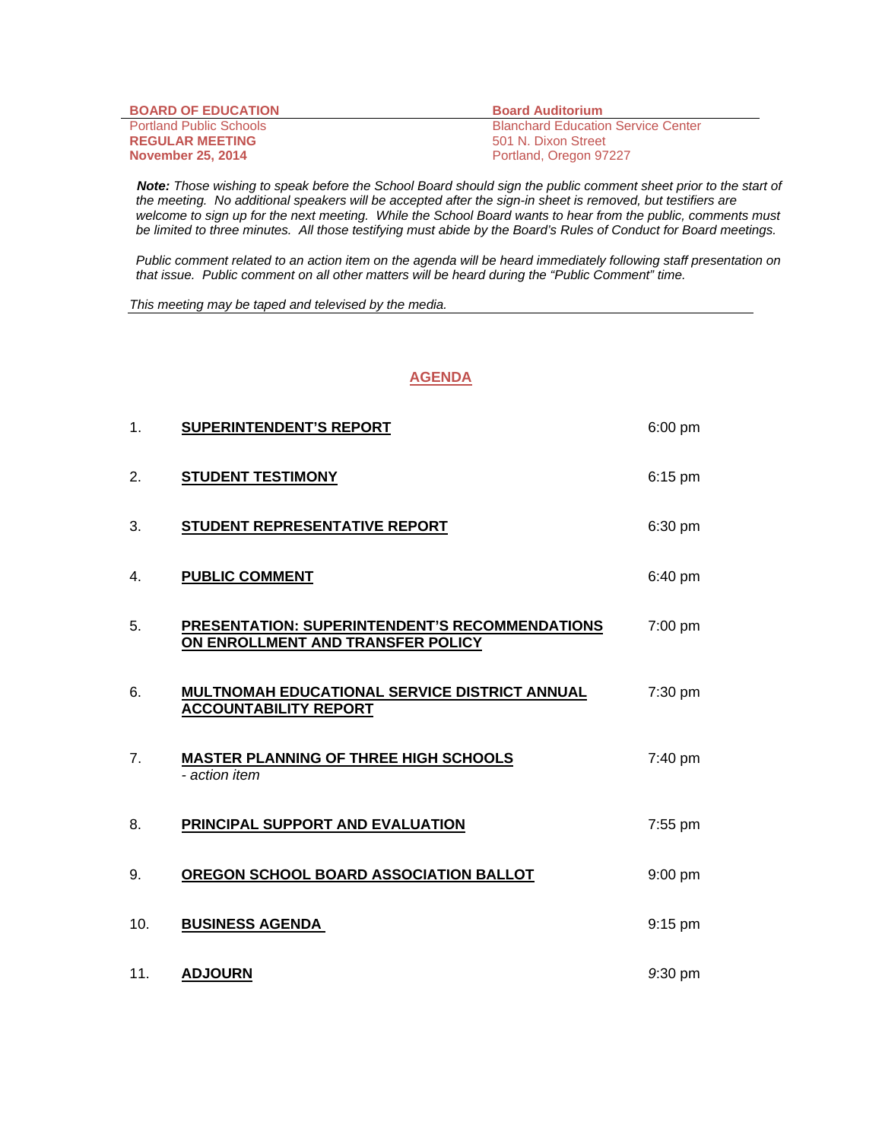| <b>BOARD OF EDUCATION</b>      | <b>Board Auditorium</b>                   |
|--------------------------------|-------------------------------------------|
| <b>Portland Public Schools</b> | <b>Blanchard Education Service Center</b> |
| <b>REGULAR MEETING</b>         | 501 N. Dixon Street                       |
| <b>November 25, 2014</b>       | Portland, Oregon 97227                    |

 *Note: Those wishing to speak before the School Board should sign the public comment sheet prior to the start of the meeting. No additional speakers will be accepted after the sign-in sheet is removed, but testifiers are welcome to sign up for the next meeting. While the School Board wants to hear from the public, comments must be limited to three minutes. All those testifying must abide by the Board's Rules of Conduct for Board meetings.* 

 *Public comment related to an action item on the agenda will be heard immediately following staff presentation on that issue. Public comment on all other matters will be heard during the "Public Comment" time.* 

*This meeting may be taped and televised by the media.* 

## **AGENDA**

| 1.             | <b>SUPERINTENDENT'S REPORT</b>                                                             | $6:00$ pm |
|----------------|--------------------------------------------------------------------------------------------|-----------|
| 2.             | <b>STUDENT TESTIMONY</b>                                                                   | 6:15 pm   |
| 3.             | STUDENT REPRESENTATIVE REPORT                                                              | 6:30 pm   |
| 4.             | <b>PUBLIC COMMENT</b>                                                                      | 6:40 pm   |
| 5.             | <b>PRESENTATION: SUPERINTENDENT'S RECOMMENDATIONS</b><br>ON ENROLLMENT AND TRANSFER POLICY | 7:00 pm   |
| 6.             | MULTNOMAH EDUCATIONAL SERVICE DISTRICT ANNUAL<br><b>ACCOUNTABILITY REPORT</b>              | 7:30 pm   |
| 7 <sub>1</sub> | <b>MASTER PLANNING OF THREE HIGH SCHOOLS</b><br>- action item                              | 7:40 pm   |
| 8.             | PRINCIPAL SUPPORT AND EVALUATION                                                           | 7:55 pm   |
| 9.             | OREGON SCHOOL BOARD ASSOCIATION BALLOT                                                     | $9:00$ pm |
| 10.            | <b>BUSINESS AGENDA</b>                                                                     | $9:15$ pm |
| 11.            | <b>ADJOURN</b>                                                                             | 9:30 pm   |